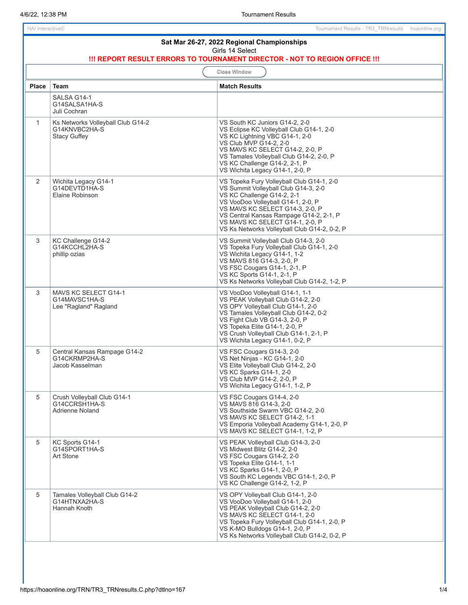| Sat Mar 26-27, 2022 Regional Championships<br>Girls 14 Select<br>!!! REPORT RESULT ERRORS TO TOURNAMENT DIRECTOR - NOT TO REGION OFFICE !!! |                                                                           |                                                                                                                                                                                                                                                                                                                        |  |  |
|---------------------------------------------------------------------------------------------------------------------------------------------|---------------------------------------------------------------------------|------------------------------------------------------------------------------------------------------------------------------------------------------------------------------------------------------------------------------------------------------------------------------------------------------------------------|--|--|
| <b>Close Window</b>                                                                                                                         |                                                                           |                                                                                                                                                                                                                                                                                                                        |  |  |
| <b>Place</b>                                                                                                                                | <b>Team</b>                                                               | <b>Match Results</b>                                                                                                                                                                                                                                                                                                   |  |  |
|                                                                                                                                             | SALSA G14-1<br>G14SALSA1HA-S<br>Juli Cochran                              |                                                                                                                                                                                                                                                                                                                        |  |  |
| $\mathbf{1}$                                                                                                                                | Ks Networks Volleyball Club G14-2<br>G14KNVBC2HA-S<br><b>Stacy Guffey</b> | VS South KC Juniors G14-2, 2-0<br>VS Eclipse KC Volleyball Club G14-1, 2-0<br>VS KC Lightning VBC G14-1, 2-0<br>VS Club MVP G14-2, 2-0<br>VS MAVS KC SELECT G14-2, 2-0, P<br>VS Tamales Volleyball Club G14-2, 2-0, P<br>VS KC Challenge G14-2, 2-1, P<br>VS Wichita Legacy G14-1, 2-0, P                              |  |  |
| $\overline{2}$                                                                                                                              | Wichita Legacy G14-1<br>G14DEVTD1HA-S<br>Elaine Robinson                  | VS Topeka Fury Volleyball Club G14-1, 2-0<br>VS Summit Volleyball Club G14-3, 2-0<br>VS KC Challenge G14-2, 2-1<br>VS VooDoo Volleyball G14-1, 2-0, P<br>VS MAVS KC SELECT G14-3, 2-0, P<br>VS Central Kansas Rampage G14-2, 2-1, P<br>VS MAVS KC SELECT G14-1, 2-0, P<br>VS Ks Networks Volleyball Club G14-2, 0-2, P |  |  |
| 3                                                                                                                                           | KC Challenge G14-2<br>G14KCCHL2HA-S<br>phillip ozias                      | VS Summit Volleyball Club G14-3, 2-0<br>VS Topeka Fury Volleyball Club G14-1, 2-0<br>VS Wichita Legacy G14-1, 1-2<br>VS MAVS 816 G14-3, 2-0, P<br>VS FSC Cougars G14-1, 2-1, P<br>VS KC Sports G14-1, 2-1, P<br>VS Ks Networks Volleyball Club G14-2, 1-2, P                                                           |  |  |
| 3                                                                                                                                           | MAVS KC SELECT G14-1<br>G14MAVSC1HA-S<br>Lee "Ragland" Ragland            | VS VooDoo Volleyball G14-1, 1-1<br>VS PEAK Volleyball Club G14-2, 2-0<br>VS OPY Volleyball Club G14-1, 2-0<br>VS Tamales Volleyball Club G14-2, 0-2<br>VS Fight Club VB G14-3, 2-0, P<br>VS Topeka Elite G14-1, 2-0, P<br>VS Crush Volleyball Club G14-1, 2-1, P<br>VS Wichita Legacy G14-1, 0-2, P                    |  |  |
| 5                                                                                                                                           | Central Kansas Rampage G14-2<br>G14CKRMP2HA-S<br>Jacob Kasselman          | VS FSC Cougars G14-3, 2-0<br>VS Net Ninjas - KC G14-1, 2-0<br>VS Elite Volleyball Club G14-2, 2-0<br>VS KC Sparks G14-1, 2-0<br>VS Club MVP G14-2, 2-0, P<br>VS Wichita Legacy G14-1, 1-2, P                                                                                                                           |  |  |
| 5                                                                                                                                           | Crush Volleyball Club G14-1<br>G14CCRSH1HA-S<br><b>Adrienne Noland</b>    | VS FSC Cougars G14-4, 2-0<br>VS MAVS 816 G14-3, 2-0<br>VS Southside Swarm VBC G14-2, 2-0<br>VS MAVS KC SELECT G14-2, 1-1<br>VS Emporia Volleyball Academy G14-1, 2-0, P<br>VS MAVS KC SELECT G14-1, 1-2, P                                                                                                             |  |  |
| 5                                                                                                                                           | KC Sports G14-1<br>G14SPORT1HA-S<br>Art Stone                             | VS PEAK Volleyball Club G14-3, 2-0<br>VS Midwest Blitz G14-2, 2-0<br>VS FSC Cougars G14-2, 2-0<br>VS Topeka Elite G14-1, 1-1<br>VS KC Sparks G14-1, 2-0, P<br>VS South KC Legends VBC G14-1, 2-0, P<br>VS KC Challenge G14-2, 1-2, P                                                                                   |  |  |
| 5                                                                                                                                           | Tamales Volleyball Club G14-2<br>G14HTNXA2HA-S<br>Hannah Knoth            | VS OPY Volleyball Club G14-1, 2-0<br>VS VooDoo Volleyball G14-1, 2-0<br>VS PEAK Volleyball Club G14-2, 2-0<br>VS MAVS KC SELECT G14-1, 2-0<br>VS Topeka Fury Volleyball Club G14-1, 2-0, P<br>VS K-MO Bulldogs G14-1, 2-0, P<br>VS Ks Networks Volleyball Club G14-2, 0-2, P                                           |  |  |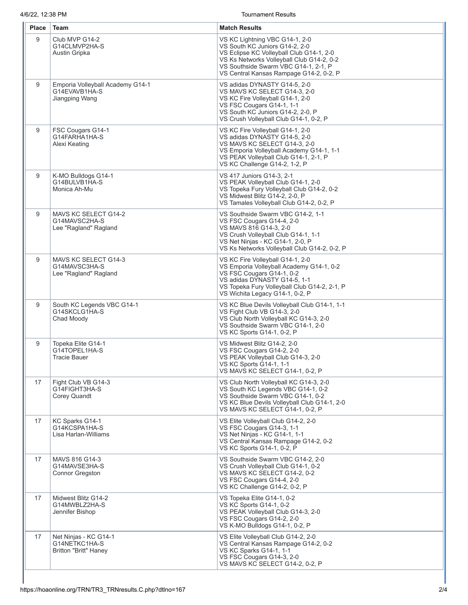Tournament Results

| <b>Place</b> | Team                                                                   | <b>Match Results</b>                                                                                                                                                                                                                         |
|--------------|------------------------------------------------------------------------|----------------------------------------------------------------------------------------------------------------------------------------------------------------------------------------------------------------------------------------------|
| 9            | Club MVP G14-2<br>G14CLMVP2HA-S<br>Austin Gripka                       | VS KC Lightning VBC G14-1, 2-0<br>VS South KC Juniors G14-2, 2-0<br>VS Eclipse KC Volleyball Club G14-1, 2-0<br>VS Ks Networks Volleyball Club G14-2, 0-2<br>VS Southside Swarm VBC G14-1, 2-1, P<br>VS Central Kansas Rampage G14-2, 0-2, P |
| 9            | Emporia Volleyball Academy G14-1<br>G14EVAVB1HA-S<br>Jiangping Wang    | VS adidas DYNASTY G14-5, 2-0<br>VS MAVS KC SELECT G14-3, 2-0<br>VS KC Fire Volleyball G14-1, 2-0<br>VS FSC Cougars G14-1, 1-1<br>VS South KC Juniors G14-2, 2-0, P<br>VS Crush Volleyball Club G14-1, 0-2, P                                 |
| 9            | FSC Cougars G14-1<br>G14FARHA1HA-S<br>Alexi Keating                    | VS KC Fire Volleyball G14-1, 2-0<br>VS adidas DYNASTY G14-5, 2-0<br>VS MAVS KC SELECT G14-3, 2-0<br>VS Emporia Volleyball Academy G14-1, 1-1<br>VS PEAK Volleyball Club G14-1, 2-1, P<br>VS KC Challenge G14-2, 1-2, P                       |
| 9            | K-MO Bulldogs G14-1<br>G14BULVB1HA-S<br>Monica Ah-Mu                   | VS 417 Juniors G14-3, 2-1<br>VS PEAK Volleyball Club G14-1, 2-0<br>VS Topeka Fury Volleyball Club G14-2, 0-2<br>VS Midwest Blitz G14-2, 2-0, P<br>VS Tamales Volleyball Club G14-2, 0-2, P                                                   |
| 9            | MAVS KC SELECT G14-2<br>G14MAVSC2HA-S<br>Lee "Ragland" Ragland         | VS Southside Swarm VBC G14-2, 1-1<br>VS FSC Cougars G14-4, 2-0<br>VS MAVS 816 G14-3, 2-0<br>VS Crush Volleyball Club G14-1, 1-1<br>VS Net Ninjas - KC G14-1, 2-0, P<br>VS Ks Networks Volleyball Club G14-2, 0-2, P                          |
| 9            | MAVS KC SELECT G14-3<br>G14MAVSC3HA-S<br>Lee "Ragland" Ragland         | VS KC Fire Volleyball G14-1, 2-0<br>VS Emporia Volleyball Academy G14-1, 0-2<br>VS FSC Cougars G14-1, 0-2<br>VS adidas DYNASTY G14-5, 1-1<br>VS Topeka Fury Volleyball Club G14-2, 2-1, P<br>VS Wichita Legacy G14-1, 0-2, P                 |
| 9            | South KC Legends VBC G14-1<br>G14SKCLG1HA-S<br>Chad Moody              | VS KC Blue Devils Volleyball Club G14-1, 1-1<br>VS Fight Club VB G14-3, 2-0<br>VS Club North Volleyball KC G14-3, 2-0<br>VS Southside Swarm VBC G14-1, 2-0<br>VS KC Sports G14-1, 0-2, P                                                     |
| 9            | Topeka Elite G14-1<br>G14TOPEL1HA-S<br><b>Tracie Bauer</b>             | VS Midwest Blitz G14-2, 2-0<br>VS FSC Cougars G14-2, 2-0<br>VS PEAK Volleyball Club G14-3, 2-0<br>VS KC Sports G14-1, 1-1<br>VS MAVS KC SELECT G14-1, 0-2, P                                                                                 |
| 17           | Fight Club VB G14-3<br>G14FIGHT3HA-S<br>Corey Quandt                   | VS Club North Volleyball KC G14-3, 2-0<br>VS South KC Legends VBC G14-1, 0-2<br>VS Southside Swarm VBC G14-1, 0-2<br>VS KC Blue Devils Volleyball Club G14-1, 2-0<br>VS MAVS KC SELECT G14-1, 0-2, P                                         |
| 17           | KC Sparks G14-1<br>G14KCSPA1HA-S<br>Lisa Harlan-Williams               | VS Elite Volleyball Club G14-2, 2-0<br>VS FSC Cougars G14-3, 1-1<br>VS Net Ninjas - KC G14-1, 1-1<br>VS Central Kansas Rampage G14-2, 0-2<br>VS KC Sports G14-1, 0-2, P                                                                      |
| 17           | MAVS 816 G14-3<br>G14MAVSE3HA-S<br><b>Connor Gregston</b>              | VS Southside Swarm VBC G14-2, 2-0<br>VS Crush Volleyball Club G14-1, 0-2<br>VS MAVS KC SELECT G14-2, 0-2<br>VS FSC Cougars G14-4, 2-0<br>VS KC Challenge G14-2, 0-2, P                                                                       |
| 17           | Midwest Blitz G14-2<br>G14MWBLZ2HA-S<br>Jennifer Bishop                | VS Topeka Elite G14-1, 0-2<br>VS KC Sports G14-1, 0-2<br>VS PEAK Volleyball Club G14-3, 2-0<br>VS FSC Cougars G14-2, 2-0<br>VS K-MO Bulldogs G14-1, 0-2, P                                                                                   |
| 17           | Net Ninjas - KC G14-1<br>G14NETKC1HA-S<br><b>Britton "Britt" Haney</b> | VS Elite Volleyball Club G14-2, 2-0<br>VS Central Kansas Rampage G14-2, 0-2<br>VS KC Sparks G14-1, 1-1<br>VS FSC Cougars G14-3, 2-0<br>VS MAVS KC SELECT G14-2, 0-2, P                                                                       |

I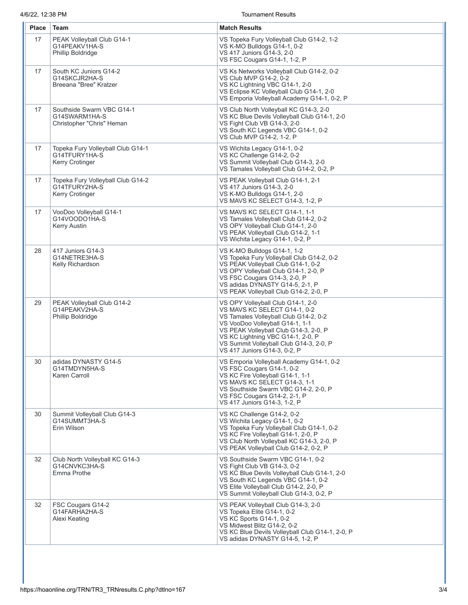4/6/22, 12:38 PM Tournament Results

| <b>Place</b> | Team                                                                         | <b>Match Results</b>                                                                                                                                                                                                                                                                                   |
|--------------|------------------------------------------------------------------------------|--------------------------------------------------------------------------------------------------------------------------------------------------------------------------------------------------------------------------------------------------------------------------------------------------------|
| 17           | PEAK Volleyball Club G14-1<br>G14PEAKV1HA-S<br><b>Phillip Boldridge</b>      | VS Topeka Fury Volleyball Club G14-2, 1-2<br>VS K-MO Bulldogs G14-1, 0-2<br>VS 417 Juniors G14-3, 2-0<br>VS FSC Cougars G14-1, 1-2, P                                                                                                                                                                  |
| 17           | South KC Juniors G14-2<br>G14SKCJR2HA-S<br>Breeana "Bree" Kratzer            | VS Ks Networks Volleyball Club G14-2, 0-2<br>VS Club MVP G14-2, 0-2<br>VS KC Lightning VBC G14-1, 2-0<br>VS Eclipse KC Volleyball Club G14-1, 2-0<br>VS Emporia Volleyball Academy G14-1, 0-2, P                                                                                                       |
| 17           | Southside Swarm VBC G14-1<br>G14SWARM1HA-S<br>Christopher "Chris" Heman      | VS Club North Volleyball KC G14-3, 2-0<br>VS KC Blue Devils Volleyball Club G14-1, 2-0<br>VS Fight Club VB G14-3, 2-0<br>VS South KC Legends VBC G14-1, 0-2<br>VS Club MVP G14-2, 1-2, P                                                                                                               |
| 17           | Topeka Fury Volleyball Club G14-1<br>G14TFURY1HA-S<br><b>Kerry Crotinger</b> | VS Wichita Legacy G14-1, 0-2<br>VS KC Challenge G14-2, 0-2<br>VS Summit Volleyball Club G14-3, 2-0<br>VS Tamales Volleyball Club G14-2, 0-2, P                                                                                                                                                         |
| 17           | Topeka Fury Volleyball Club G14-2<br>G14TFURY2HA-S<br><b>Kerry Crotinger</b> | VS PEAK Volleyball Club G14-1, 2-1<br>VS 417 Juniors G14-3, 2-0<br>VS K-MO Bulldogs G14-1, 2-0<br>VS MAVS KC SELECT G14-3, 1-2, P                                                                                                                                                                      |
| 17           | VooDoo Volleyball G14-1<br>G14VOODO1HA-S<br><b>Kerry Austin</b>              | VS MAVS KC SELECT G14-1, 1-1<br>VS Tamales Volleyball Club G14-2, 0-2<br>VS OPY Volleyball Club G14-1, 2-0<br>VS PEAK Volleyball Club G14-2, 1-1<br>VS Wichita Legacy G14-1, 0-2, P                                                                                                                    |
| 28           | 417 Juniors G14-3<br>G14NETRE3HA-S<br>Kelly Richardson                       | VS K-MO Bulldogs G14-1, 1-2<br>VS Topeka Fury Volleyball Club G14-2, 0-2<br>VS PEAK Volleyball Club G14-1, 0-2<br>VS OPY Volleyball Club G14-1, 2-0, P<br>VS FSC Cougars G14-3, 2-0, P<br>VS adidas DYNASTY G14-5, 2-1, P<br>VS PEAK Volleyball Club G14-2, 2-0, P                                     |
| 29           | PEAK Volleyball Club G14-2<br>G14PEAKV2HA-S<br><b>Phillip Boldridge</b>      | VS OPY Volleyball Club G14-1, 2-0<br>VS MAVS KC SELECT G14-1, 0-2<br>VS Tamales Volleyball Club G14-2, 0-2<br>VS VooDoo Volleyball G14-1, 1-1<br>VS PEAK Volleyball Club G14-3, 2-0, P<br>VS KC Lightning VBC G14-1, 2-0, P<br>VS Summit Volleyball Club G14-3, 2-0, P<br>VS 417 Juniors G14-3, 0-2, P |
| 30           | adidas DYNASTY G14-5<br>G14TMDYN5HA-S<br>Karen Carroll                       | VS Emporia Volleyball Academy G14-1, 0-2<br>VS FSC Cougars G14-1, 0-2<br>VS KC Fire Volleyball G14-1, 1-1<br>VS MAVS KC SELECT G14-3, 1-1<br>VS Southside Swarm VBC G14-2, 2-0, P<br>VS FSC Cougars G14-2, 2-1, P<br>VS 417 Juniors G14-3, 1-2, P                                                      |
| 30           | Summit Volleyball Club G14-3<br>G14SUMMT3HA-S<br>Erin Wilson                 | VS KC Challenge G14-2, 0-2<br>VS Wichita Legacy G14-1, 0-2<br>VS Topeka Fury Volleyball Club G14-1, 0-2<br>VS KC Fire Volleyball G14-1, 2-0, P<br>VS Club North Volleyball KC G14-3, 2-0, P<br>VS PEAK Volleyball Club G14-2, 0-2, P                                                                   |
| 32           | Club North Volleyball KC G14-3<br>G14CNVKC3HA-S<br>Emma Prothe               | VS Southside Swarm VBC G14-1, 0-2<br>VS Fight Club VB G14-3, 0-2<br>VS KC Blue Devils Volleyball Club G14-1, 2-0<br>VS South KC Legends VBC G14-1, 0-2<br>VS Elite Volleyball Club G14-2, 2-0, P<br>VS Summit Volleyball Club G14-3, 0-2, P                                                            |
| 32           | FSC Cougars G14-2<br>G14FARHA2HA-S<br>Alexi Keating                          | VS PEAK Volleyball Club G14-3, 2-0<br>VS Topeka Elite G14-1, 0-2<br>VS KC Sports G14-1, 0-2<br>VS Midwest Blitz G14-2, 0-2<br>VS KC Blue Devils Volleyball Club G14-1, 2-0, P<br>VS adidas DYNASTY G14-5, 1-2, P                                                                                       |